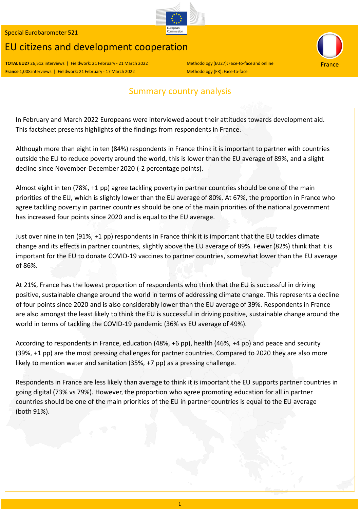# EU citizens and development cooperation

**TOTAL EU27** 26,512 interviews | Fieldwork: 21 February - 21 March 2022 Methodology (EU27): Face-to-face and online **France** 1,008 interviews | Fieldwork: 21 February - 17 March 2022 Methodology (FR): Face-to-face

### Summary country analysis

In February and March 2022 Europeans were interviewed about their attitudes towards development aid. This factsheet presents highlights of the findings from respondents in France.

Although more than eight in ten (84%) respondents in France think it is important to partner with countries outside the EU to reduce poverty around the world, this is lower than the EU average of 89%, and a slight decline since November‐December 2020 (‐2 percentage points).

Almost eight in ten (78%, +1 pp) agree tackling poverty in partner countries should be one of the main priorities of the EU, which is slightly lower than the EU average of 80%. At 67%, the proportion in France who agree tackling poverty in partner countries should be one of the main priorities of the national government has increased four points since 2020 and is equal to the EU average.

Just over nine in ten (91%, +1 pp) respondents in France think it is important that the EU tackles climate change and its effects in partner countries, slightly above the EU average of 89%. Fewer (82%) think that it is important for the EU to donate COVID‐19 vaccines to partner countries, somewhat lower than the EU average of 86%.

At 21%, France has the lowest proportion of respondents who think that the EU is successful in driving positive, sustainable change around the world in terms of addressing climate change. This represents a decline of four points since 2020 and is also considerably lower than the EU average of 39%. Respondents in France are also amongst the least likely to think the EU is successful in driving positive, sustainable change around the world in terms of tackling the COVID‐19 pandemic (36% vs EU average of 49%).

According to respondents in France, education (48%, +6 pp), health (46%, +4 pp) and peace and security (39%, +1 pp) are the most pressing challenges for partner countries. Compared to 2020 they are also more likely to mention water and sanitation (35%, +7 pp) as a pressing challenge.

Respondents in France are less likely than average to think it is important the EU supports partner countries in going digital (73% vs 79%). However, the proportion who agree promoting education for all in partner countries should be one of the main priorities of the EU in partner countries is equal to the EU average (both 91%).



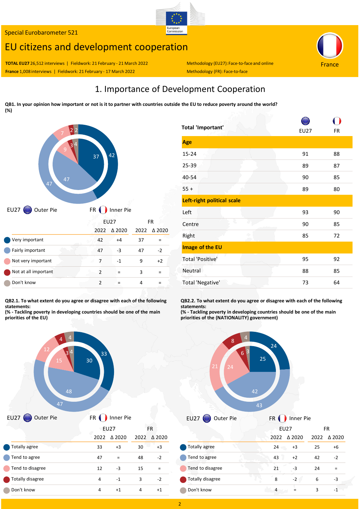## EU citizens and development cooperation

**TOTAL EU27** 26,512 interviews | Fieldwork: 21 February - 21 March 2022 Methodology (EU27): Face-to-face and online **France** 1,008 interviews | Fieldwork: 21 February - 17 March 2022 Methodology (FR): Face-to-face

### 1. Importance of Development Cooperation

European<br>Commission

QB1. In your opinion how important or not is it to partner with countries outside the EU to reduce poverty around the world? **(%)**



|                      | EUZ7          |                  | FК   |                  |
|----------------------|---------------|------------------|------|------------------|
|                      | 2022          | $\triangle$ 2020 | 2022 | $\triangle$ 2020 |
| Very important       | 42            | $+4$             | 37   |                  |
| Fairly important     | 47            | -3               | 47   | $-2$             |
| Not very important   |               | -1               | 9    | $+2$             |
| Not at all important | $\mathcal{P}$ |                  | 3    |                  |
| Don't know           | 2             |                  |      |                  |
|                      |               |                  |      |                  |

**QB2.1. To what extent do you agree or disagree with each of the following statements:**

**(% ‐ Tackling poverty in developing countries should be one of the main priorities of the EU)**

| <b>Total 'Important'</b>   | <b>EU27</b> | FR |
|----------------------------|-------------|----|
| Age                        |             |    |
| $15 - 24$                  | 91          | 88 |
| $25 - 39$                  | 89          | 87 |
| 40-54                      | 90          | 85 |
| $55 +$                     | 89          | 80 |
| Left-right political scale |             |    |
| Left                       | 93          | 90 |
| È.<br>Centre               | 90          | 85 |
| Right                      | 85          | 72 |
| Image of the EU            |             |    |
| <b>Total 'Positive'</b>    | 95          | 92 |
| Neutral                    | 88          | 85 |
| Total 'Negative'           | 73          | 64 |

**QB2.2. To what extent do you agree or disagree with each of the following statements:**

**(% ‐ Tackling poverty in developing countries should be one of the main priorities of the (NATIONALITY) government)**







 $\sqrt{2}$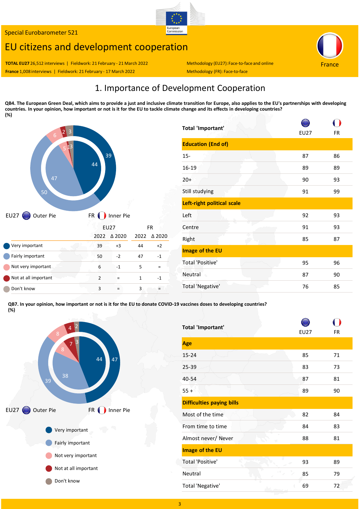# EU citizens and development cooperation

France

**TOTAL EU27** 26,512 interviews | Fieldwork: 21 February - 21 March 2022 Methodology (EU27): Face-to-face and online **France** 1,008 interviews | Fieldwork: 21 February - 17 March 2022 Methodology (FR): Face-to-face

### 1. Importance of Development Cooperation

European<br>Commission

QB4. The European Green Deal, which aims to provide a just and inclusive climate transition for Europe, also applies to the EU's partnerships with developing countries. In your opinion, how important or not is it for the EU to tackle climate change and its effects in developing countries? **(%)**



| Total 'Important'          | <b>EU27</b> | FR |
|----------------------------|-------------|----|
| <b>Education (End of)</b>  |             |    |
| $15 -$                     | 87          | 86 |
| 16-19                      | 89          | 89 |
| $20+$                      | 90          | 93 |
| Still studying             | 91          | 99 |
| Left-right political scale |             |    |
| Left                       | 92          | 93 |
| Centre                     | 91          | 93 |
| Right                      | 85          | 87 |
| Image of the EU            |             |    |
| <b>Total 'Positive'</b>    | 95          | 96 |
| Neutral<br>ò.              | 87          | 90 |
| Total 'Negative'           | 76          | 85 |

QB7. In your opinion, how important or not is it for the EU to donate COVID-19 vaccines doses to developing countries? **(%)**



| Total 'Important'                | <b>EU27</b> | FR |
|----------------------------------|-------------|----|
| Age                              |             |    |
| $15 - 24$                        | 85          | 71 |
| 25-39                            | 83          | 73 |
| 40-54                            | 87          | 81 |
| $55 +$                           | 89          | 90 |
| <b>Difficulties paying bills</b> |             |    |
| Most of the time                 | 82          | 84 |
| From time to time                | 84          | 83 |
| Almost never/ Never<br>W         | 88          | 81 |
| Image of the EU                  |             |    |
| q7,<br><b>Total 'Positive'</b>   | 93          | 89 |
| $\sim$<br>Neutral                | 85          | 79 |
| Total 'Negative'                 | 69          | 72 |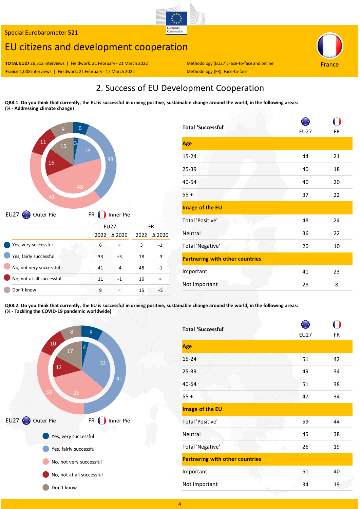## EU citizens and development cooperation

France

**TOTAL EU27** 26,512 interviews | Fieldwork: 21 February - 21 March 2022 Methodology (EU27): Face-to-face and online France 1,008 interviews | Fieldwork: 21 February - 17 March 2022 Methodology (FR): Face‐to‐face

# 2. Success of EU Development Cooperation

European<br>Commission

QB8.1. Do you think that currently, the EU is successful in driving positive, sustainable change around the world, in the following areas: **(% ‐ Addressing climate change)**



| <b>Total 'Successful'</b>              | EU27 | <b>FR</b> |  |  |
|----------------------------------------|------|-----------|--|--|
| Age                                    |      |           |  |  |
| 15-24                                  | 44   | 21        |  |  |
| 25-39                                  | 40   | 18        |  |  |
| 40-54                                  | 40   | 20        |  |  |
| $55 +$                                 | 37   | 22        |  |  |
| Image of the EU                        |      |           |  |  |
| Total 'Positive'<br>Ł                  | 48   | 24        |  |  |
| Neutral                                | 36   | 22        |  |  |
| Total 'Negative'                       | 20   | 10        |  |  |
| <b>Partnering with other countries</b> |      |           |  |  |
| Important                              | 41   | 23        |  |  |
| Not Important                          | 28   | 8         |  |  |

QB8.2. Do you think that currently, the EU is successful in driving positive, sustainable change around the world, in the following areas: **(% ‐ Tackling the COVID‐19 pandemic worldwide)**



| <b>Total 'Successful'</b>              | <b>EU27</b> | <b>FR</b> |
|----------------------------------------|-------------|-----------|
| Age                                    |             |           |
| $15 - 24$                              | 51          | 42        |
| 25-39                                  | 49          | 34        |
| 40-54                                  | 51          | 38        |
| $55 +$                                 | 47          | 34        |
| Image of the EU                        |             |           |
| Total 'Positive'                       | 59          | 44        |
| Neutral                                | 45          | 38        |
| Total 'Negative'                       | 26          | 19        |
| <b>Partnering with other countries</b> |             |           |
| Important                              | 51          | 40        |
| Not Important                          | 34          | 19        |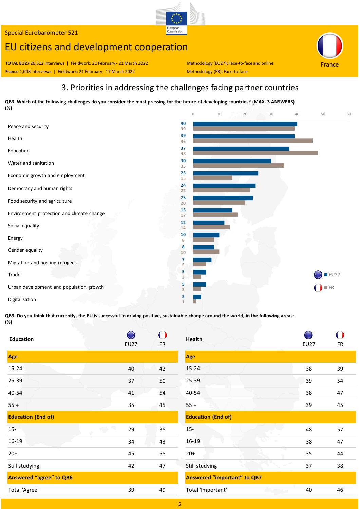# EU citizens and development cooperation

**TOTAL EU27** 26,512 interviews | Fieldwork: 21 February ‐ 21 March 2022 Methodology (EU27):Face‐to‐face and online **France** 1,008 interviews | Fieldwork: 21 February - 17 March 2022 Methodology (FR): Face-to-face

France

### 3. Priorities in addressing the challenges facing partner countries

European<br>Commission

QB3. Which of the following challenges do you consider the most pressing for the future of developing countries? (MAX. 3 ANSWERS) **(%)**



QB3. Do you think that currently, the EU is successful in driving positive, sustainable change around the world, in the following areas: **(%)**

| <b>Education</b>                  | <b>EU27</b> | <b>FR</b> | Health        |
|-----------------------------------|-------------|-----------|---------------|
| Age                               |             |           | Age           |
| $15 - 24$                         | 40          | 42        | $15 - 24$     |
| $25 - 39$                         | 37          | 50        | 25-39         |
| 40-54                             | 41          | 54        | 40-54         |
| $55 +$                            | 35          | 45        | $55 +$        |
| <b>Education (End of)</b>         |             |           | <b>Educat</b> |
| $15 -$<br>$\bigcirc$              | 29          | 38        | $15-$         |
| $\overline{\mathcal{N}}$<br>16-19 | 34          | 43        | 16-19         |
| $20+$                             | 45          | 58        | $20+$         |
| Still studying                    | 42          | 47        | Still stu     |
| <b>Answered "agree" to QB6</b>    |             |           | <b>Answe</b>  |
| Total 'Agree'                     | 39          | 49        | Total 'I      |

| <b>Health</b>                      |             |           |
|------------------------------------|-------------|-----------|
|                                    | <b>EU27</b> | <b>FR</b> |
| Age                                |             |           |
| $15 - 24$                          | 38          | 39        |
| 25-39                              | 39          | 54        |
| 40-54                              | 38          | 47        |
| $55 +$                             | 39          | 45        |
| <b>Education (End of)</b>          |             |           |
| $15 -$                             | 48          | 57        |
| 16-19<br>$\mathbb{N}$              | 38          | 47        |
| 73<br>$20+$                        | 35          | 44        |
| Still studying                     | 37          | 38        |
| <b>Answered "important" to QB7</b> |             |           |
| Total 'Important'                  | 40          | 46        |